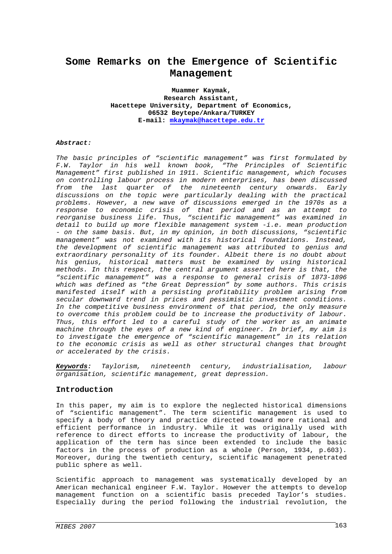# **Some Remarks on the Emergence of Scientific Management**

**Muammer Kaymak, Research Assistant, Hacettepe University, Department of Economics, 06532 Beytepe/Ankara/TURKEY E-mail: mkaymak@hacettepe.edu.tr**

#### *Abstract:*

*The basic principles of "scientific management" was first formulated by F.W. Taylor in his well known book, "The Principles of Scientific Management" first published in 1911. Scientific management, which focuses on controlling labour process in modern enterprises, has been discussed from the last quarter of the nineteenth century onwards. Early discussions on the topic were particularly dealing with the practical problems. However, a new wave of discussions emerged in the 1970s as a response to economic crisis of that period and as an attempt to reorganise business life. Thus, "scientific management" was examined in detail to build up more flexible management system -i.e. mean production - on the same basis. But, in my opinion, in both discussions, "scientific management" was not examined with its historical foundations. Instead, the development of scientific management was attributed to genius and extraordinary personality of its founder. Albeit there is no doubt about his genius, historical matters must be examined by using historical methods. In this respect, the central argument asserted here is that, the "scientific management" was a response to general crisis of 1873-1896 which was defined as "the Great Depression" by some authors. This crisis manifested itself with a persisting profitability problem arising from secular downward trend in prices and pessimistic investment conditions. In the competitive business environment of that period, the only measure to overcome this problem could be to increase the productivity of labour. Thus, this effort led to a careful study of the worker as an animate machine through the eyes of a new kind of engineer. In brief, my aim is to investigate the emergence of "scientific management" in its relation to the economic crisis as well as other structural changes that brought or accelerated by the crisis.* 

*Keywords: Taylorism, nineteenth century, industrialisation, labour organisation, scientific management, great depression.* 

#### **Introduction**

In this paper, my aim is to explore the neglected historical dimensions of "scientific management". The term scientific management is used to specify a body of theory and practice directed toward more rational and efficient performance in industry. While it was originally used with reference to direct efforts to increase the productivity of labour, the application of the term has since been extended to include the basic factors in the process of production as a whole (Person, 1934, p.603). Moreover, during the twentieth century, scientific management penetrated public sphere as well.

Scientific approach to management was systematically developed by an American mechanical engineer F.W. Taylor. However the attempts to develop management function on a scientific basis preceded Taylor's studies. Especially during the period following the industrial revolution, the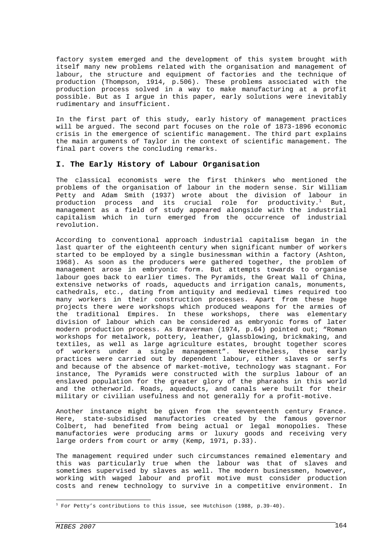factory system emerged and the development of this system brought with itself many new problems related with the organisation and management of labour, the structure and equipment of factories and the technique of production (Thompson, 1914, p.506). These problems associated with the production process solved in a way to make manufacturing at a profit possible. But as I argue in this paper, early solutions were inevitably rudimentary and insufficient.

In the first part of this study, early history of management practices will be argued. The second part focuses on the role of 1873-1896 economic crisis in the emergence of scientific management. The third part explains the main arguments of Taylor in the context of scientific management. The final part covers the concluding remarks.

#### **I. The Early History of Labour Organisation**

The classical economists were the first thinkers who mentioned the problems of the organisation of labour in the modern sense. Sir William Petty and Adam Smith (1937) wrote about the division of labour in production process and its crucial role for productivity. $^1$  But, management as a field of study appeared alongside with the industrial capitalism which in turn emerged from the occurrence of industrial revolution.

According to conventional approach industrial capitalism began in the last quarter of the eighteenth century when significant number of workers started to be employed by a single businessman within a factory (Ashton, 1968). As soon as the producers were gathered together, the problem of management arose in embryonic form. But attempts towards to organise labour goes back to earlier times. The Pyramids, the Great Wall of China, extensive networks of roads, aqueducts and irrigation canals, monuments, cathedrals, etc., dating from antiquity and medieval times required too many workers in their construction processes. Apart from these huge projects there were workshops which produced weapons for the armies of the traditional Empires. In these workshops, there was elementary division of labour which can be considered as embryonic forms of later modern production process. As Braverman (1974, p.64) pointed out; "Roman workshops for metalwork, pottery, leather, glassblowing, brickmaking, and textiles, as well as large agriculture estates, brought together scores of workers under a single management". Nevertheless, these early practices were carried out by dependent labour, either slaves or serfs and because of the absence of market-motive, technology was stagnant. For instance, The Pyramids were constructed with the surplus labour of an enslaved population for the greater glory of the pharaohs in this world and the otherworld. Roads, aqueducts, and canals were built for their military or civilian usefulness and not generally for a profit-motive.

Another instance might be given from the seventeenth century France. Here, state-subsidised manufactories created by the famous governor Colbert, had benefited from being actual or legal monopolies. These manufactories were producing arms or luxury goods and receiving very large orders from court or army (Kemp, 1971, p.33).

The management required under such circumstances remained elementary and this was particularly true when the labour was that of slaves and sometimes supervised by slaves as well. The modern businessmen, however, working with waged labour and profit motive must consider production costs and renew technology to survive in a competitive environment. In

÷,

 $^1$  For Petty's contributions to this issue, see Hutchison (1988, p.39-40).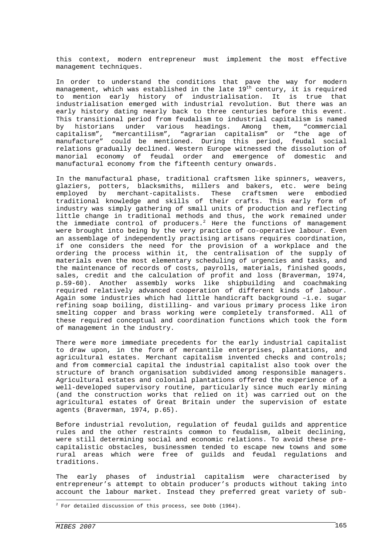this context, modern entrepreneur must implement the most effective management techniques.

In order to understand the conditions that pave the way for modern management, which was established in the late  $19<sup>th</sup>$  century, it is required to mention early history of industrialisation. It is true that industrialisation emerged with industrial revolution. But there was an early history dating nearly back to three centuries before this event. This transitional period from feudalism to industrial capitalism is named by historians under various headings. Among them, "commercial capitalism", "mercantilism", "agrarian capitalism" or "the age of manufacture" could be mentioned. During this period, feudal social relations gradually declined. Western Europe witnessed the dissolution of manorial economy of feudal order and emergence of domestic and manufactural economy from the fifteenth century onwards.

In the manufactural phase, traditional craftsmen like spinners, weavers, glaziers, potters, blacksmiths, millers and bakers, etc. were being employed by merchant-capitalists. These craftsmen were embodied traditional knowledge and skills of their crafts. This early form of industry was simply gathering of small units of production and reflecting little change in traditional methods and thus, the work remained under the immediate control of producers.<sup>2</sup> Here the functions of management were brought into being by the very practice of co-operative labour. Even an assemblage of independently practising artisans requires coordination, if one considers the need for the provision of a workplace and the ordering the process within it, the centralisation of the supply of materials even the most elementary scheduling of urgencies and tasks, and the maintenance of records of costs, payrolls, materials, finished goods, sales, credit and the calculation of profit and loss (Braverman, 1974, p.59-60). Another assembly works like shipbuilding and coachmaking required relatively advanced cooperation of different kinds of labour. Again some industries which had little handicraft background –i.e. sugar refining soap boiling, distilling- and various primary process like iron smelting copper and brass working were completely transformed. All of these required conceptual and coordination functions which took the form of management in the industry.

There were more immediate precedents for the early industrial capitalist to draw upon, in the form of mercantile enterprises, plantations, and agricultural estates. Merchant capitalism invented checks and controls; and from commercial capital the industrial capitalist also took over the structure of branch organisation subdivided among responsible managers. Agricultural estates and colonial plantations offered the experience of a well-developed supervisory routine, particularly since much early mining (and the construction works that relied on it) was carried out on the agricultural estates of Great Britain under the supervision of estate agents (Braverman, 1974, p.65).

Before industrial revolution, regulation of feudal guilds and apprentice rules and the other restraints common to feudalism, albeit declining, were still determining social and economic relations. To avoid these precapitalistic obstacles, businessmen tended to escape new towns and some rural areas which were free of guilds and feudal regulations and traditions.

The early phases of industrial capitalism were characterised by entrepreneur's attempt to obtain producer's products without taking into account the labour market. Instead they preferred great variety of sub-

÷,

 $2$  For detailed discussion of this process, see Dobb (1964).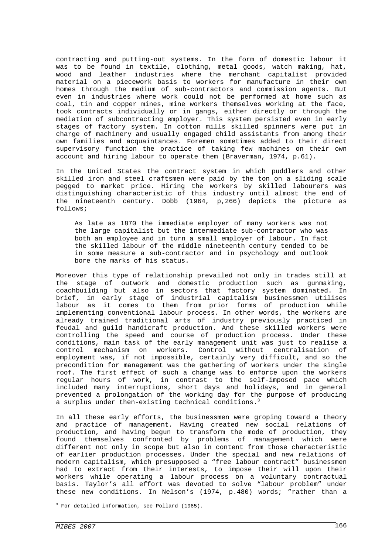contracting and putting-out systems. In the form of domestic labour it was to be found in textile, clothing, metal goods, watch making, hat, wood and leather industries where the merchant capitalist provided material on a piecework basis to workers for manufacture in their own homes through the medium of sub-contractors and commission agents. But even in industries where work could not be performed at home such as coal, tin and copper mines, mine workers themselves working at the face, took contracts individually or in gangs, either directly or through the mediation of subcontracting employer. This system persisted even in early stages of factory system. In cotton mills skilled spinners were put in charge of machinery and usually engaged child assistants from among their own families and acquaintances. Foremen sometimes added to their direct supervisory function the practice of taking few machines on their own account and hiring labour to operate them (Braverman, 1974, p.61).

In the United States the contract system in which puddlers and other skilled iron and steel craftsmen were paid by the ton on a sliding scale pegged to market price. Hiring the workers by skilled labourers was distinguishing characteristic of this industry until almost the end of the nineteenth century. Dobb (1964, p,266) depicts the picture as follows;

As late as 1870 the immediate employer of many workers was not the large capitalist but the intermediate sub-contractor who was both an employee and in turn a small employer of labour. In fact the skilled labour of the middle nineteenth century tended to be in some measure a sub-contractor and in psychology and outlook bore the marks of his status.

Moreover this type of relationship prevailed not only in trades still at the stage of outwork and domestic production such as gunmaking, coachbuilding but also in sectors that factory system dominated. In brief, in early stage of industrial capitalism businessmen utilises labour as it comes to them from prior forms of production while implementing conventional labour process. In other words, the workers are already trained traditional arts of industry previously practiced in feudal and guild handicraft production. And these skilled workers were controlling the speed and course of production process. Under these conditions, main task of the early management unit was just to realise a control mechanism on workers. Control without centralisation of employment was, if not impossible, certainly very difficult, and so the precondition for management was the gathering of workers under the single roof. The first effect of such a change was to enforce upon the workers regular hours of work, in contrast to the self-imposed pace which included many interruptions, short days and holidays, and in general prevented a prolongation of the working day for the purpose of producing a surplus under then-existing technical conditions.<sup>3</sup>

In all these early efforts, the businessmen were groping toward a theory and practice of management. Having created new social relations of production, and having begun to transform the mode of production, they found themselves confronted by problems of management which were different not only in scope but also in content from those characteristic of earlier production processes. Under the special and new relations of modern capitalism, which presupposed a "free labour contract" businessmen had to extract from their interests, to impose their will upon their workers while operating a labour process on a voluntary contractual basis. Taylor's all effort was devoted to solve "labour problem" under these new conditions. In Nelson's (1974, p.480) words; "rather than a

÷,

<sup>&</sup>lt;sup>3</sup> For detailed information, see Pollard (1965).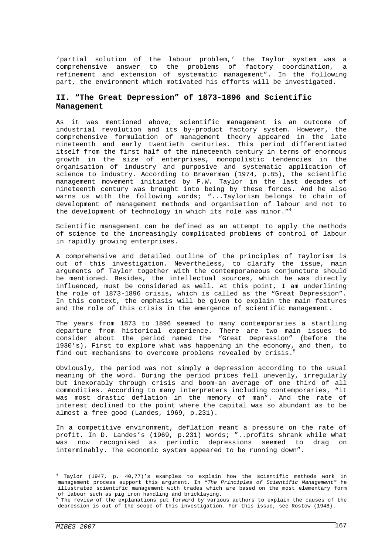'partial solution of the labour problem,' the Taylor system was a comprehensive answer to the problems of factory coordination, a refinement and extension of systematic management". In the following part, the environment which motivated his efforts will be investigated.

## **II. "The Great Depression" of 1873-1896 and Scientific Management**

As it was mentioned above, scientific management is an outcome of industrial revolution and its by-product factory system. However, the comprehensive formulation of management theory appeared in the late nineteenth and early twentieth centuries. This period differentiated itself from the first half of the nineteenth century in terms of enormous growth in the size of enterprises, monopolistic tendencies in the organisation of industry and purposive and systematic application of science to industry. According to Braverman (1974, p.85), the scientific management movement initiated by F.W. Taylor in the last decades of nineteenth century was brought into being by these forces. And he also warns us with the following words; "...Taylorism belongs to chain of development of management methods and organisation of labour and not to the development of technology in which its role was minor."<sup>4</sup>

Scientific management can be defined as an attempt to apply the methods of science to the increasingly complicated problems of control of labour in rapidly growing enterprises.

A comprehensive and detailed outline of the principles of Taylorism is out of this investigation. Nevertheless, to clarify the issue, main arguments of Taylor together with the contemporaneous conjuncture should be mentioned. Besides, the intellectual sources, which he was directly influenced, must be considered as well. At this point, I am underlining the role of 1873-1896 crisis, which is called as the "Great Depression". In this context, the emphasis will be given to explain the main features and the role of this crisis in the emergence of scientific management.

The years from 1873 to 1896 seemed to many contemporaries a startling departure from historical experience. There are two main issues to consider about the period named the "Great Depression" (before the 1930's). First to explore what was happening in the economy, and then, to find out mechanisms to overcome problems revealed by crisis.<sup>5</sup>

Obviously, the period was not simply a depression according to the usual meaning of the word. During the period prices fell unevenly, irregularly but inexorably through crisis and boom-an average of one third of all commodities. According to many interpreters including contemporaries, "it was most drastic deflation in the memory of man". And the rate of interest declined to the point where the capital was so abundant as to be almost a free good (Landes, 1969, p.231).

In a competitive environment, deflation meant a pressure on the rate of profit. In D. Landes's (1969, p.231) words; "..profits shrank while what was now recognised as periodic depressions seemed to drag on interminably. The economic system appeared to be running down".

 4 Taylor (1947, p. 40,77)'s examples to explain how the scientific methods work in management process support this argument. In *"The Principles of Scientific Management"* he illustrated scientific management with trades which are based on the most elementary form of labour such as pig iron handling and bricklaying.

<sup>&</sup>lt;sup>5</sup> The review of the explanations put forward by various authors to explain the causes of the depression is out of the scope of this investigation. For this issue, see Rostow (1948).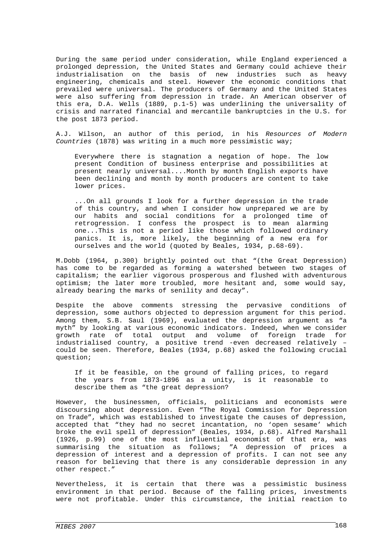During the same period under consideration, while England experienced a prolonged depression, the United States and Germany could achieve their industrialisation on the basis of new industries such as heavy engineering, chemicals and steel. However the economic conditions that prevailed were universal. The producers of Germany and the United States were also suffering from depression in trade. An American observer of this era, D.A. Wells (1889, p.1-5) was underlining the universality of crisis and narrated financial and mercantile bankruptcies in the U.S. for the post 1873 period.

A.J. Wilson, an author of this period, in his *Resources of Modern Countries* (1878) was writing in a much more pessimistic way;

Everywhere there is stagnation a negation of hope. The low present Condition of business enterprise and possibilities at present nearly universal....Month by month English exports have been declining and month by month producers are content to take lower prices.

...On all grounds I look for a further depression in the trade of this country, and when I consider how unprepared we are by our habits and social conditions for a prolonged time of retrogression. I confess the prospect is to mean alarming one...This is not a period like those which followed ordinary panics. It is, more likely, the beginning of a new era for ourselves and the world (quoted by Beales, 1934, p.68-69).

M.Dobb (1964, p.300) brightly pointed out that "(the Great Depression) has come to be regarded as forming a watershed between two stages of capitalism; the earlier vigorous prosperous and flushed with adventurous optimism; the later more troubled, more hesitant and, some would say, already bearing the marks of senility and decay".

Despite the above comments stressing the pervasive conditions of depression, some authors objected to depression argument for this period. Among them, S.B. Saul (1969), evaluated the depression argument as "a myth" by looking at various economic indicators. Indeed, when we consider growth rate of total output and volume of foreign trade for industrialised country, a positive trend -even decreased relatively – could be seen. Therefore, Beales (1934, p.68) asked the following crucial question;

If it be feasible, on the ground of falling prices, to regard the years from 1873-1896 as a unity, is it reasonable to describe them as "the great depression?

However, the businessmen, officials, politicians and economists were discoursing about depression. Even "The Royal Commission for Depression on Trade", which was established to investigate the causes of depression, accepted that "they had no secret incantation, no 'open sesame' which broke the evil spell of depression" (Beales, 1934, p.68). Alfred Marshall (1926, p.99) one of the most influential economist of that era, was summarising the situation as follows; "A depression of prices a depression of interest and a depression of profits. I can not see any reason for believing that there is any considerable depression in any other respect."

Nevertheless, it is certain that there was a pessimistic business environment in that period. Because of the falling prices, investments were not profitable. Under this circumstance, the initial reaction to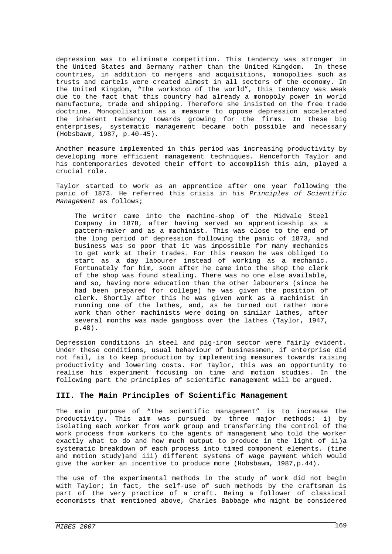depression was to eliminate competition. This tendency was stronger in the United States and Germany rather than the United Kingdom. In these countries, in addition to mergers and acquisitions, monopolies such as trusts and cartels were created almost in all sectors of the economy. In the United Kingdom, "the workshop of the world", this tendency was weak due to the fact that this country had already a monopoly power in world manufacture, trade and shipping. Therefore she insisted on the free trade doctrine. Monopolisation as a measure to oppose depression accelerated the inherent tendency towards growing for the firms. In these big enterprises, systematic management became both possible and necessary (Hobsbawm, 1987, p.40-45).

Another measure implemented in this period was increasing productivity by developing more efficient management techniques. Henceforth Taylor and his contemporaries devoted their effort to accomplish this aim, played a crucial role.

Taylor started to work as an apprentice after one year following the panic of 1873. He referred this crisis in his *Principles of Scientific Management* as follows;

The writer came into the machine-shop of the Midvale Steel Company in 1878, after having served an apprenticeship as a pattern-maker and as a machinist. This was close to the end of the long period of depression following the panic of 1873, and business was so poor that it was impossible for many mechanics to get work at their trades. For this reason he was obliged to start as a day labourer instead of working as a mechanic. Fortunately for him, soon after he came into the shop the clerk of the shop was found stealing. There was no one else available, and so, having more education than the other labourers (since he had been prepared for college) he was given the position of clerk. Shortly after this he was given work as a machinist in running one of the lathes, and, as he turned out rather more work than other machinists were doing on similar lathes, after several months was made gangboss over the lathes (Taylor, 1947, p.48).

Depression conditions in steel and pig-iron sector were fairly evident. Under these conditions, usual behaviour of businessmen, if enterprise did not fail, is to keep production by implementing measures towards raising productivity and lowering costs. For Taylor, this was an opportunity to realise his experiment focusing on time and motion studies. In the following part the principles of scientific management will be argued.

## **III. The Main Principles of Scientific Management**

The main purpose of "the scientific management" is to increase the productivity. This aim was pursued by three major methods; i) by isolating each worker from work group and transferring the control of the work process from workers to the agents of management who told the worker exactly what to do and how much output to produce in the light of ii)a systematic breakdown of each process into timed component elements. (time and motion study)and iii) different systems of wage payment which would give the worker an incentive to produce more (Hobsbawm, 1987,p.44).

The use of the experimental methods in the study of work did not begin with Taylor; in fact, the self-use of such methods by the craftsman is part of the very practice of a craft. Being a follower of classical economists that mentioned above, Charles Babbage who might be considered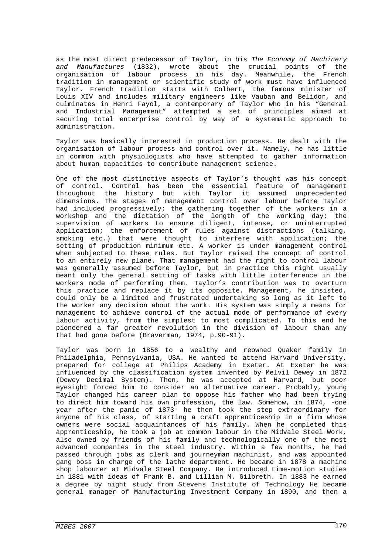as the most direct predecessor of Taylor, in his *The Economy of Machinery and Manufactures* (1832), wrote about the crucial points of the organisation of labour process in his day. Meanwhile, the French tradition in management or scientific study of work must have influenced Taylor. French tradition starts with Colbert, the famous minister of Louis XIV and includes military engineers like Vauban and Belidor, and culminates in Henri Fayol, a contemporary of Taylor who in his "General and Industrial Management" attempted a set of principles aimed at securing total enterprise control by way of a systematic approach to administration.

Taylor was basically interested in production process. He dealt with the organisation of labour process and control over it. Namely, he has little in common with physiologists who have attempted to gather information about human capacities to contribute management science.

One of the most distinctive aspects of Taylor's thought was his concept of control. Control has been the essential feature of management throughout the history but with Taylor it assumed unprecedented dimensions. The stages of management control over labour before Taylor had included progressively; the gathering together of the workers in a workshop and the dictation of the length of the working day; the supervision of workers to ensure diligent, intense, or uninterrupted application; the enforcement of rules against distractions (talking, smoking etc.) that were thought to interfere with application; the setting of production minimum etc. A worker is under management control when subjected to these rules. But Taylor raised the concept of control to an entirely new plane. That management had the right to control labour was generally assumed before Taylor, but in practice this right usually meant only the general setting of tasks with little interference in the workers mode of performing them. Taylor's contribution was to overturn this practice and replace it by its opposite. Management, he insisted, could only be a limited and frustrated undertaking so long as it left to the worker any decision about the work. His system was simply a means for management to achieve control of the actual mode of performance of every labour activity, from the simplest to most complicated. To this end he pioneered a far greater revolution in the division of labour than any that had gone before (Braverman, 1974, p.90-91).

Taylor was born in 1856 to a wealthy and reowned Quaker family in Philadelphia, Pennsylvania, USA. He wanted to attend Harvard University, prepared for college at Philips Academy in Exeter. At Exeter he was influenced by the classification system invented by Melvil Dewey in 1872 (Dewey Decimal System). Then, he was accepted at Harvard, but poor eyesight forced him to consider an alternative career. Probably, young Taylor changed his career plan to oppose his father who had been trying to direct him toward his own profession, the law. Somehow, in 1874, -one year after the panic of 1873- he then took the step extraordinary for anyone of his class, of starting a craft apprenticeship in a firm whose owners were social acquaintances of his family. When he completed this apprenticeship, he took a job at common labour in the Midvale Steel Work, also owned by friends of his family and technologically one of the most advanced companies in the steel industry. Within a few months, he had passed through jobs as clerk and journeyman machinist, and was appointed gang boss in charge of the lathe department. He became in 1878 a machine shop labourer at Midvale Steel Company. He introduced time-motion studies in 1881 with ideas of Frank B. and Lillian M. Gilbreth. In 1883 he earned a degree by night study from Stevens Institute of Technology He became general manager of Manufacturing Investment Company in 1890, and then a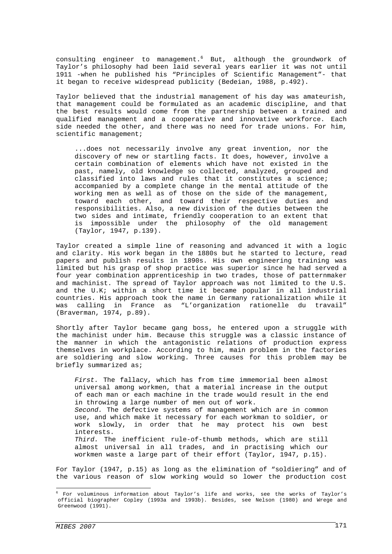consulting engineer to management.<sup>6</sup> But, although the groundwork of Taylor's philosophy had been laid several years earlier it was not until 1911 -when he published his "Principles of Scientific Management"- that it began to receive widespread publicity (Bedeian, 1988, p.492).

Taylor believed that the industrial management of his day was amateurish, that management could be formulated as an academic discipline, and that the best results would come from the partnership between a trained and qualified management and a cooperative and innovative workforce. Each side needed the other, and there was no need for trade unions. For him, scientific management;

...does not necessarily involve any great invention, nor the discovery of new or startling facts. It does, however, involve a certain combination of elements which have not existed in the past, namely, old knowledge so collected, analyzed, grouped and classified into laws and rules that it constitutes a science; accompanied by a complete change in the mental attitude of the working men as well as of those on the side of the management, toward each other, and toward their respective duties and responsibilities. Also, a new division of the duties between the two sides and intimate, friendly cooperation to an extent that is impossible under the philosophy of the old management (Taylor, 1947, p.139).

Taylor created a simple line of reasoning and advanced it with a logic and clarity. His work began in the 1880s but he started to lecture, read papers and publish results in 1890s. His own engineering training was limited but his grasp of shop practice was superior since he had served a four year combination apprenticeship in two trades, those of patternmaker and machinist. The spread of Taylor approach was not limited to the U.S. and the U.K; within a short time it became popular in all industrial countries. His approach took the name in Germany rationalization while it was calling in France as "L'organization rationelle du travail" (Braverman, 1974, p.89).

Shortly after Taylor became gang boss, he entered upon a struggle with the machinist under him. Because this struggle was a classic instance of the manner in which the antagonistic relations of production express themselves in workplace. According to him, main problem in the factories are soldiering and slow working. Three causes for this problem may be briefly summarized as;

*First.* The fallacy, which has from time immemorial been almost universal among workmen, that a material increase in the output of each man or each machine in the trade would result in the end in throwing a large number of men out of work. *Second.* The defective systems of management which are in common use, and which make it necessary for each workman to soldier, or work slowly, in order that he may protect his own best interests. *Third.* The inefficient rule-of-thumb methods, which are still almost universal in all trades, and in practising which our

workmen waste a large part of their effort (Taylor, 1947, p.15).

For Taylor (1947, p.15) as long as the elimination of "soldiering" and of the various reason of slow working would so lower the production cost

 6 For voluminous information about Taylor's life and works, see the works of Taylor's official biographer Copley (1993a and 1993b). Besides, see Nelson (1980) and Wrege and Greenwood (1991).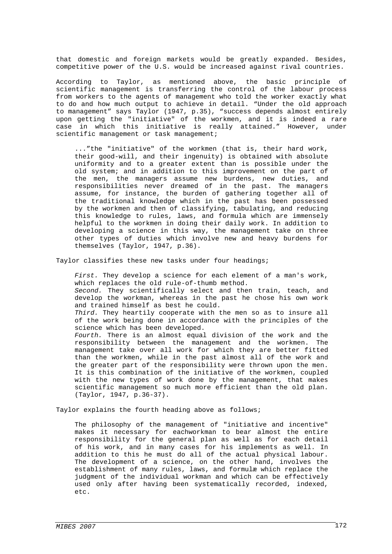that domestic and foreign markets would be greatly expanded. Besides, competitive power of the U.S. would be increased against rival countries.

According to Taylor, as mentioned above, the basic principle of scientific management is transferring the control of the labour process from workers to the agents of management who told the worker exactly what to do and how much output to achieve in detail. "Under the old approach to management" says Taylor (1947, p.35), "success depends almost entirely upon getting the "initiative" of the workmen, and it is indeed a rare case in which this initiative is really attained." However, under scientific management or task management;

..."the "initiative" of the workmen (that is, their hard work, their good-will, and their ingenuity) is obtained with absolute uniformity and to a greater extent than is possible under the old system; and in addition to this improvement on the part of the men, the managers assume new burdens, new duties, and responsibilities never dreamed of in the past. The managers assume, for instance, the burden of gathering together all of the traditional knowledge which in the past has been possessed by the workmen and then of classifying, tabulating, and reducing this knowledge to rules, laws, and formula which are immensely helpful to the workmen in doing their daily work. In addition to developing a science in this way, the management take on three other types of duties which involve new and heavy burdens for themselves (Taylor, 1947, p.36).

Taylor classifies these new tasks under four headings;

*First.* They develop a science for each element of a man's work, which replaces the old rule-of-thumb method.

*Second.* They scientifically select and then train, teach, and develop the workman, whereas in the past he chose his own work and trained himself as best he could.

*Third.* They heartily cooperate with the men so as to insure all of the work being done in accordance with the principles of the science which has been developed.

*Fourth.* There is an almost equal division of the work and the responsibility between the management and the workmen. The management take over all work for which they are better fitted than the workmen, while in the past almost all of the work and the greater part of the responsibility were thrown upon the men. It is this combination of the initiative of the workmen, coupled with the new types of work done by the management, that makes scientific management so much more efficient than the old plan. (Taylor, 1947, p.36-37).

Taylor explains the fourth heading above as follows;

The philosophy of the management of "initiative and incentive" makes it necessary for eachworkman to bear almost the entire responsibility for the general plan as well as for each detail of his work, and in many cases for his implements as well. In addition to this he must do all of the actual physical labour. The development of a science, on the other hand, involves the establishment of many rules, laws, and formulæ which replace the judgment of the individual workman and which can be effectively used only after having been systematically recorded, indexed, etc.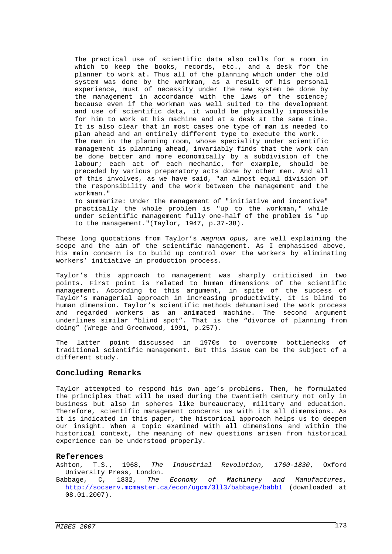The practical use of scientific data also calls for a room in which to keep the books, records, etc., and a desk for the planner to work at. Thus all of the planning which under the old system was done by the workman, as a result of his personal experience, must of necessity under the new system be done by the management in accordance with the laws of the science; because even if the workman was well suited to the development and use of scientific data, it would be physically impossible for him to work at his machine and at a desk at the same time. It is also clear that in most cases one type of man is needed to plan ahead and an entirely different type to execute the work. The man in the planning room, whose speciality under scientific management is planning ahead, invariably finds that the work can be done better and more economically by a subdivision of the labour; each act of each mechanic, for example, should be preceded by various preparatory acts done by other men. And all of this involves, as we have said, "an almost equal division of the responsibility and the work between the management and the workman." To summarize: Under the management of "initiative and incentive" practically the whole problem is "up to the workman," while under scientific management fully one-half of the problem is "up

These long quotations from Taylor's *magnum opus,* are well explaining the scope and the aim of the scientific management. As I emphasised above, his main concern is to build up control over the workers by eliminating workers' initiative in production process.

to the management."(Taylor, 1947, p.37-38).

Taylor's this approach to management was sharply criticised in two points. First point is related to human dimensions of the scientific management. According to this argument, in spite of the success of Taylor's managerial approach in increasing productivity, it is blind to human dimension. Taylor's scientific methods dehumanised the work process and regarded workers as an animated machine. The second argument underlines similar "blind spot". That is the "divorce of planning from doing" (Wrege and Greenwood, 1991, p.257).

The latter point discussed in 1970s to overcome bottlenecks of traditional scientific management. But this issue can be the subject of a different study.

## **Concluding Remarks**

Taylor attempted to respond his own age's problems. Then, he formulated the principles that will be used during the twentieth century not only in business but also in spheres like bureaucracy, military and education. Therefore, scientific management concerns us with its all dimensions. As it is indicated in this paper, the historical approach helps us to deepen our insight. When a topic examined with all dimensions and within the historical context, the meaning of new questions arisen from historical experience can be understood properly.

## **References**

Ashton, T.S., 1968, *The Industrial Revolution, 1760-1830*, Oxford University Press, London.

Babbage, C, 1832, *The Economy of Machinery and Manufactures*, http://socserv.mcmaster.ca/econ/ugcm/3ll3/babbage/babb1 (downloaded at  $08.01.2007$ .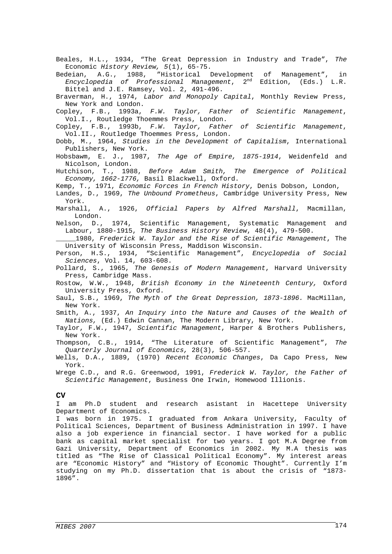Beales, H.L., 1934, "The Great Depression in Industry and Trade", *The*  Economic *History Review, 5*(1), 65-75.

Bedeian, A.G., 1988, "Historical Development of Management", in *Encyclopedia of Professional Management*, 2nd Edition, (Eds.) L.R. Bittel and J.E. Ramsey, Vol. 2, 491-496.

Braverman, H., 1974, *Labor and Monopoly Capital*, Monthly Review Press, New York and London.

Copley, F.B., 1993a, *F.W. Taylor, Father of Scientific Management*, Vol.I., Routledge Thoemmes Press, London.

Copley, F.B., 1993b, *F.W. Taylor, Father of Scientific Management*, Vol.II., Routledge Thoemmes Press, London.

Dobb, M., 1964, *Studies in the Development of Capitalism*, International Publishers, New York.

Hobsbawm, E. J., 1987, *The Age of Empire, 1875-1914*, Weidenfeld and Nicolson, London.

Hutchison, T., 1988, *Before Adam Smith, The Emergence of Political Economy, 1662-1776,* Basil Blackwell, Oxford.

Kemp, T., 1971, *Economic Forces in French History*, Denis Dobson, London,

- Landes, D., 1969, *The Unbound Prometheus*, Cambridge University Press, New York.
- Marshall, A., 1926, *Official Papers by Alfred Marshall*, Macmillan, London.

Nelson, D., 1974, Scientific Management, Systematic Management and Labour, 1880-1915, *The Business History Review*, 48(4), 479-500.

\_\_\_\_\_1980, *Frederick W. Taylor and the Rise of Scientific Management*, The University of Wisconsin Press, Maddison Wisconsin.

Person, H.S., 1934, "Scientific Management", *Encyclopedia of Social Sciences*, Vol. 14, 603-608.

Pollard, S., 1965, *The Genesis of Modern Management*, Harvard University Press, Cambridge Mass.

Rostow, W.W., 1948, *British Economy in the Nineteenth Century,* Oxford University Press, Oxford.

Saul, S.B., 1969, *The Myth of the Great Depression, 1873-1896.* MacMillan, New York.

Smith, A., 1937, *An Inquiry into the Nature and Causes of the Wealth of Nations,* (Ed.) Edwin Cannan, The Modern Library, New York.

Taylor, F.W., 1947, *Scientific Management*, Harper & Brothers Publishers, New York.

- Thompson, C.B., 1914, "The Literature of Scientific Management", *The Quarterly Journal of Economics,* 28(3), 506-557.
- Wells, D.A., 1889, (1970) *Recent Economic Changes*, Da Capo Press, New York.
- Wrege C.D., and R.G. Greenwood, 1991, *Frederick W. Taylor, the Father of Scientific Management*, Business One Irwin, Homewood Illionis.

#### **CV**

I am Ph.D student and research asistant in Hacettepe University Department of Economics.

I was born in 1975. I graduated from Ankara University, Faculty of Political Sciences, Department of Business Administration in 1997. I have also a job experience in financial sector. I have worked for a public bank as capital market specialist for two years. I got M.A Degree from Gazi University, Department of Economics in 2002. My M.A thesis was titled as "The Rise of Classical Political Economy". My interest areas are "Economic History" and "History of Economic Thought". Currently I'm studying on my Ph.D. dissertation that is about the crisis of "1873- 1896".